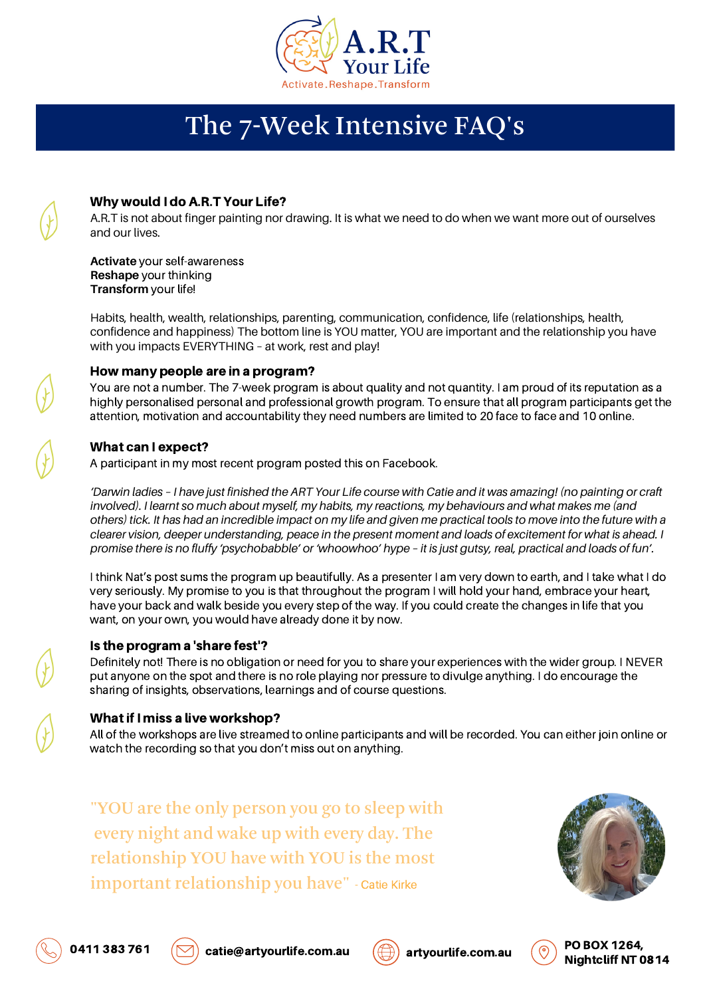

# The 7-Week Intensive FAQ's

### Why would I do A.R.T Your Life?

A.R.T is not about finger painting nor drawing. It is what we need to do when we want more out of ourselves and our lives.

**Activate** your self-awareness **Reshape** your thinking **Transform** your life!

Habits, health, wealth, relationships, parenting, communication, confidence, life (relationships, health, confidence and happiness) The bottom line is YOU matter, YOU are important and the relationship you have with you impacts EVERYTHING – at work, rest and play!

### How many people are in a program?

You are not a number. The 7-week program is about quality and not quantity. I am proud of its reputation as a highly personalised personal and professional growth program. To ensure that all program participants get the attention, motivation and accountability they need numbers are limited to 20 face to face and 10 online.

## What can I expect?

A participant in my most recent program posted this on Facebook.

'Darwin ladies - I have just finished the ART Your Life course with Catie and it was amazing! (no painting or craft involved). I learnt so much about myself, my habits, my reactions, my behaviours and what makes me (and others) tick. It has had an incredible impact on my life and given me practical tools to move into the future with a clearer vision, deeper understanding, peace in the present moment and loads of excitement for what is ahead. I promise there is no fluffy 'psychobabble' or 'whoowhoo' hype - it is just gutsy, real, practical and loads of fun'.

I think Nat's post sums the program up beautifully. As a presenter I am very down to earth, and I take what I do very seriously. My promise to you is that throughout the program I will hold your hand, embrace your heart, have your back and walk beside you every step of the way. If you could create the changes in life that you want, on your own, you would have already done it by now.

### Is the program a 'share fest'?

Definitely not! There is no obligation or need for you to share your experiences with the wider group. I NEVER put anyone on the spot and there is no role playing nor pressure to divulge anything. I do encourage the sharing of insights, observations, learnings and of course questions.

### What if I miss a live workshop?

All of the workshops are live streamed to online participants and will be recorded. You can either join online or watch the recording so that you don't miss out on anything.

"YOU are the only person you go to sleep with every night and wake up with every day. The relationship YOU have with YOU is the most important relationship you have" - Catie Kirke